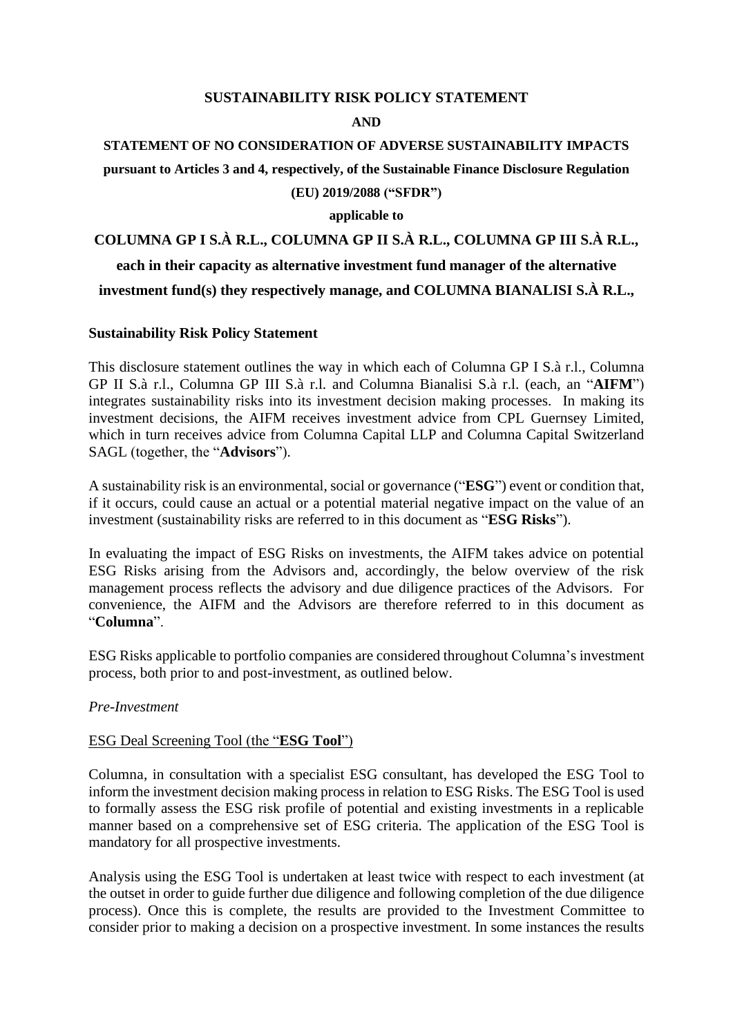# **SUSTAINABILITY RISK POLICY STATEMENT**

#### **AND**

# **STATEMENT OF NO CONSIDERATION OF ADVERSE SUSTAINABILITY IMPACTS pursuant to Articles 3 and 4, respectively, of the Sustainable Finance Disclosure Regulation (EU) 2019/2088 ("SFDR")**

# **applicable to**

# **COLUMNA GP I S.À R.L., COLUMNA GP II S.À R.L., COLUMNA GP III S.À R.L., each in their capacity as alternative investment fund manager of the alternative investment fund(s) they respectively manage, and COLUMNA BIANALISI S.À R.L.,**

# **Sustainability Risk Policy Statement**

This disclosure statement outlines the way in which each of Columna GP I S.à r.l., Columna GP II S.à r.l., Columna GP III S.à r.l. and Columna Bianalisi S.à r.l. (each, an "**AIFM**") integrates sustainability risks into its investment decision making processes. In making its investment decisions, the AIFM receives investment advice from CPL Guernsey Limited, which in turn receives advice from Columna Capital LLP and Columna Capital Switzerland SAGL (together, the "**Advisors**").

A sustainability risk is an environmental, social or governance ("**ESG**") event or condition that, if it occurs, could cause an actual or a potential material negative impact on the value of an investment (sustainability risks are referred to in this document as "**ESG Risks**").

In evaluating the impact of ESG Risks on investments, the AIFM takes advice on potential ESG Risks arising from the Advisors and, accordingly, the below overview of the risk management process reflects the advisory and due diligence practices of the Advisors. For convenience, the AIFM and the Advisors are therefore referred to in this document as "**Columna**".

ESG Risks applicable to portfolio companies are considered throughout Columna's investment process, both prior to and post-investment, as outlined below.

#### *Pre-Investment*

# ESG Deal Screening Tool (the "**ESG Tool**")

Columna, in consultation with a specialist ESG consultant, has developed the ESG Tool to inform the investment decision making process in relation to ESG Risks. The ESG Tool is used to formally assess the ESG risk profile of potential and existing investments in a replicable manner based on a comprehensive set of ESG criteria. The application of the ESG Tool is mandatory for all prospective investments.

Analysis using the ESG Tool is undertaken at least twice with respect to each investment (at the outset in order to guide further due diligence and following completion of the due diligence process). Once this is complete, the results are provided to the Investment Committee to consider prior to making a decision on a prospective investment. In some instances the results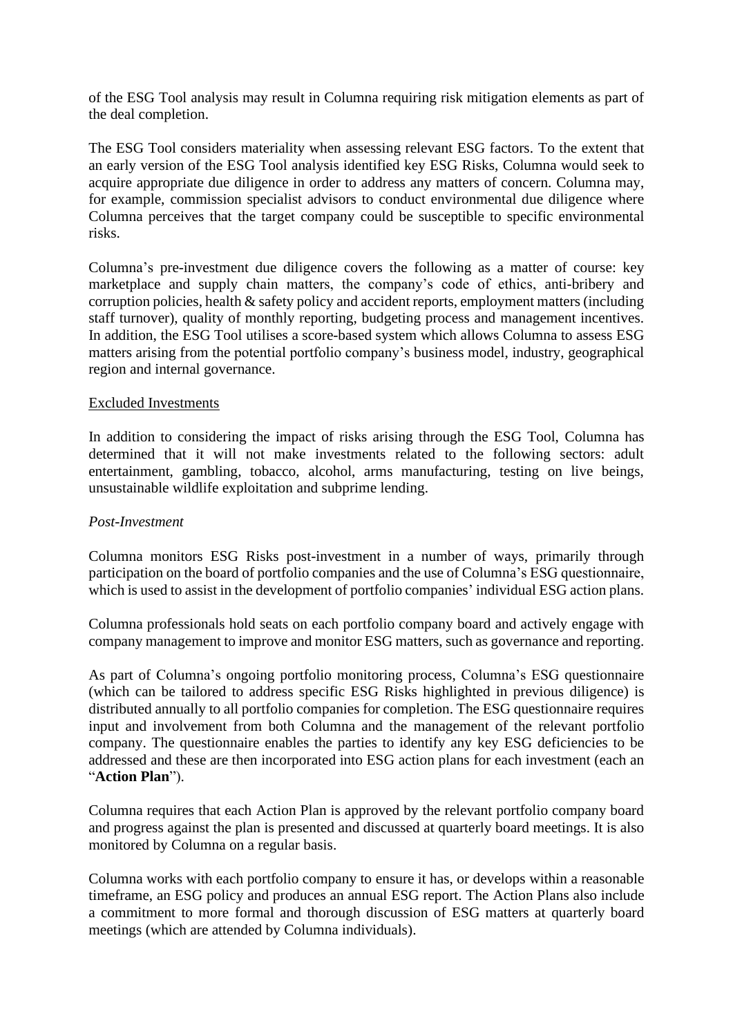of the ESG Tool analysis may result in Columna requiring risk mitigation elements as part of the deal completion.

The ESG Tool considers materiality when assessing relevant ESG factors. To the extent that an early version of the ESG Tool analysis identified key ESG Risks, Columna would seek to acquire appropriate due diligence in order to address any matters of concern. Columna may, for example, commission specialist advisors to conduct environmental due diligence where Columna perceives that the target company could be susceptible to specific environmental risks.

Columna's pre-investment due diligence covers the following as a matter of course: key marketplace and supply chain matters, the company's code of ethics, anti-bribery and corruption policies, health & safety policy and accident reports, employment matters (including staff turnover), quality of monthly reporting, budgeting process and management incentives. In addition, the ESG Tool utilises a score-based system which allows Columna to assess ESG matters arising from the potential portfolio company's business model, industry, geographical region and internal governance.

# Excluded Investments

In addition to considering the impact of risks arising through the ESG Tool, Columna has determined that it will not make investments related to the following sectors: adult entertainment, gambling, tobacco, alcohol, arms manufacturing, testing on live beings, unsustainable wildlife exploitation and subprime lending.

# *Post-Investment*

Columna monitors ESG Risks post-investment in a number of ways, primarily through participation on the board of portfolio companies and the use of Columna's ESG questionnaire, which is used to assist in the development of portfolio companies' individual ESG action plans.

Columna professionals hold seats on each portfolio company board and actively engage with company management to improve and monitor ESG matters, such as governance and reporting.

As part of Columna's ongoing portfolio monitoring process, Columna's ESG questionnaire (which can be tailored to address specific ESG Risks highlighted in previous diligence) is distributed annually to all portfolio companies for completion. The ESG questionnaire requires input and involvement from both Columna and the management of the relevant portfolio company. The questionnaire enables the parties to identify any key ESG deficiencies to be addressed and these are then incorporated into ESG action plans for each investment (each an "**Action Plan**").

Columna requires that each Action Plan is approved by the relevant portfolio company board and progress against the plan is presented and discussed at quarterly board meetings. It is also monitored by Columna on a regular basis.

Columna works with each portfolio company to ensure it has, or develops within a reasonable timeframe, an ESG policy and produces an annual ESG report. The Action Plans also include a commitment to more formal and thorough discussion of ESG matters at quarterly board meetings (which are attended by Columna individuals).